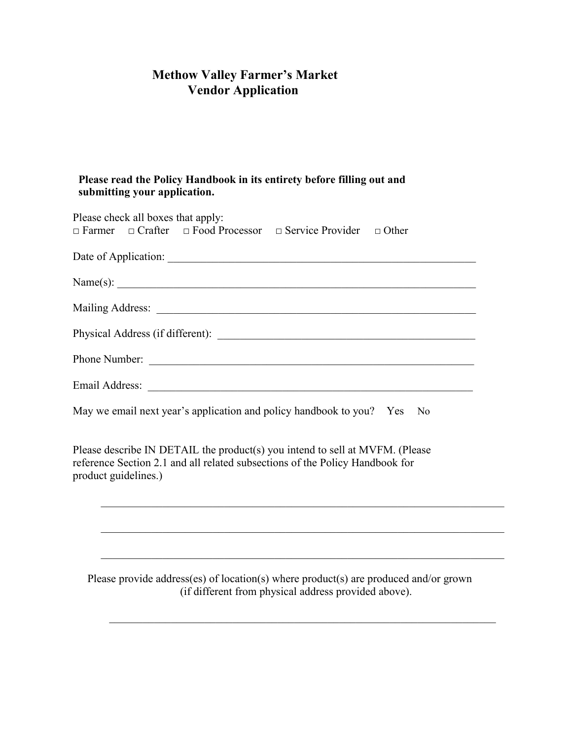## **Methow Valley Farmer's Market Vendor Application**

## **Please read the Policy Handbook in its entirety before filling out and submitting your application.**

| Please check all boxes that apply:<br>$\Box$ Farmer $\Box$ Crafter $\Box$ Food Processor $\Box$ Service Provider $\Box$ Other                                                        |
|--------------------------------------------------------------------------------------------------------------------------------------------------------------------------------------|
|                                                                                                                                                                                      |
|                                                                                                                                                                                      |
|                                                                                                                                                                                      |
|                                                                                                                                                                                      |
| Phone Number:                                                                                                                                                                        |
|                                                                                                                                                                                      |
| May we email next year's application and policy handbook to you? Yes No                                                                                                              |
| Please describe IN DETAIL the product(s) you intend to sell at MVFM. (Please<br>reference Section 2.1 and all related subsections of the Policy Handbook for<br>product guidelines.) |
|                                                                                                                                                                                      |
| Please provide address(es) of location(s) where product(s) are produced and/or grown<br>(if different from physical address provided above).                                         |
|                                                                                                                                                                                      |